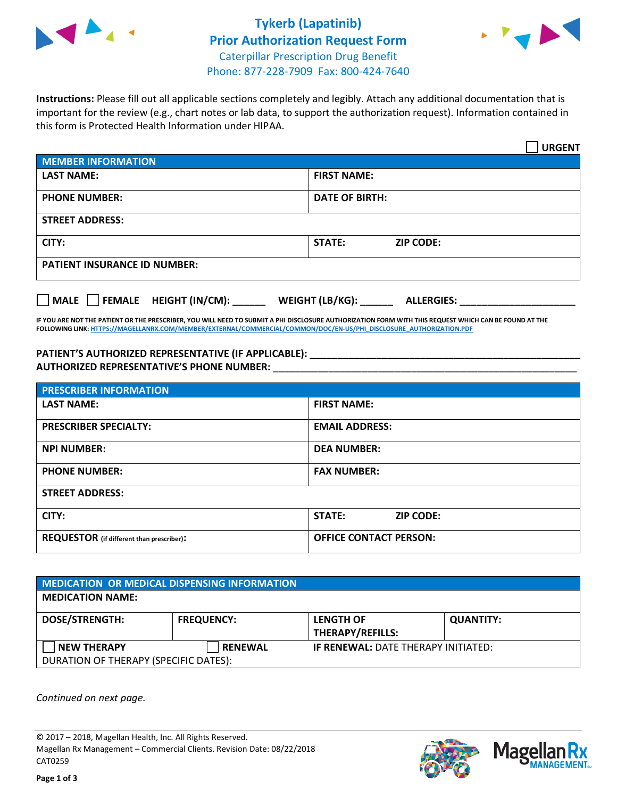

## **Tykerb (Lapatinib) Prior Authorization Request Form** Caterpillar Prescription Drug Benefit Phone: 877-228-7909 Fax: 800-424-7640



**Instructions:** Please fill out all applicable sections completely and legibly. Attach any additional documentation that is important for the review (e.g., chart notes or lab data, to support the authorization request). Information contained in this form is Protected Health Information under HIPAA.

|                                     | <b>URGENT</b>                        |  |  |  |
|-------------------------------------|--------------------------------------|--|--|--|
| <b>MEMBER INFORMATION</b>           |                                      |  |  |  |
| <b>LAST NAME:</b>                   | <b>FIRST NAME:</b>                   |  |  |  |
| <b>PHONE NUMBER:</b>                | <b>DATE OF BIRTH:</b>                |  |  |  |
| <b>STREET ADDRESS:</b>              |                                      |  |  |  |
| CITY:                               | <b>ZIP CODE:</b><br>STATE:           |  |  |  |
| <b>PATIENT INSURANCE ID NUMBER:</b> |                                      |  |  |  |
| FEMALE HEIGHT (IN/CM):<br>    MALE  | WEIGHT (LB/KG):<br><b>ALLERGIES:</b> |  |  |  |

**IF YOU ARE NOT THE PATIENT OR THE PRESCRIBER, YOU WILL NEED TO SUBMIT A PHI DISCLOSURE AUTHORIZATION FORM WITH THIS REQUEST WHICH CAN BE FOUND AT THE FOLLOWING LINK[: HTTPS://MAGELLANRX.COM/MEMBER/EXTERNAL/COMMERCIAL/COMMON/DOC/EN-US/PHI\\_DISCLOSURE\\_AUTHORIZATION.PDF](https://magellanrx.com/member/external/commercial/common/doc/en-us/PHI_Disclosure_Authorization.pdf)**

**PATIENT'S AUTHORIZED REPRESENTATIVE (IF APPLICABLE): \_\_\_\_\_\_\_\_\_\_\_\_\_\_\_\_\_\_\_\_\_\_\_\_\_\_\_\_\_\_\_\_\_\_\_\_\_\_\_\_\_\_\_\_\_\_\_\_\_ AUTHORIZED REPRESENTATIVE'S PHONE NUMBER:** \_\_\_\_\_\_\_\_\_\_\_\_\_\_\_\_\_\_\_\_\_\_\_\_\_\_\_\_\_\_\_\_\_\_\_\_\_\_\_\_\_\_\_\_\_\_\_\_\_\_\_\_\_\_\_

| <b>PRESCRIBER INFORMATION</b>             |                               |  |  |  |
|-------------------------------------------|-------------------------------|--|--|--|
| <b>LAST NAME:</b>                         | <b>FIRST NAME:</b>            |  |  |  |
| <b>PRESCRIBER SPECIALTY:</b>              | <b>EMAIL ADDRESS:</b>         |  |  |  |
| <b>NPI NUMBER:</b>                        | <b>DEA NUMBER:</b>            |  |  |  |
| <b>PHONE NUMBER:</b>                      | <b>FAX NUMBER:</b>            |  |  |  |
| <b>STREET ADDRESS:</b>                    |                               |  |  |  |
| CITY:                                     | STATE:<br><b>ZIP CODE:</b>    |  |  |  |
| REQUESTOR (if different than prescriber): | <b>OFFICE CONTACT PERSON:</b> |  |  |  |

| <b>MEDICATION OR MEDICAL DISPENSING INFORMATION</b> |                   |                                             |                  |  |
|-----------------------------------------------------|-------------------|---------------------------------------------|------------------|--|
| <b>MEDICATION NAME:</b>                             |                   |                                             |                  |  |
| <b>DOSE/STRENGTH:</b>                               | <b>FREQUENCY:</b> | <b>LENGTH OF</b><br><b>THERAPY/REFILLS:</b> | <b>QUANTITY:</b> |  |
| <b>NEW THERAPY</b>                                  | <b>RENEWAL</b>    | <b>IF RENEWAL: DATE THERAPY INITIATED:</b>  |                  |  |
| DURATION OF THERAPY (SPECIFIC DATES):               |                   |                                             |                  |  |

*Continued on next page.*

© 2017 – 2018, Magellan Health, Inc. All Rights Reserved. Magellan Rx Management – Commercial Clients. Revision Date: 08/22/2018 CAT0259



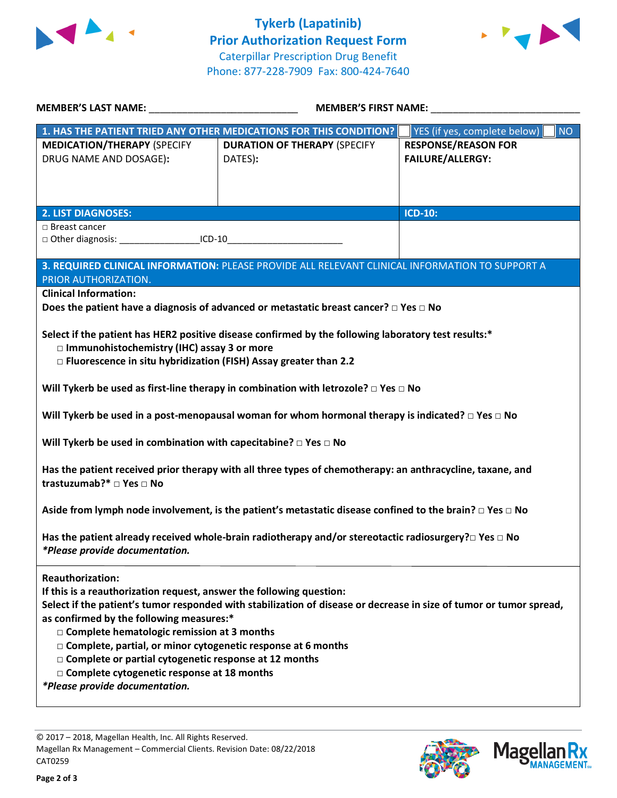



| <b>MEMBER'S LAST NAME:</b> NAME                                                                                                                                                                                                                                                                                                                                                                            | <b>MEMBER'S FIRST NAME:</b>                                                                                         |                                                       |  |  |
|------------------------------------------------------------------------------------------------------------------------------------------------------------------------------------------------------------------------------------------------------------------------------------------------------------------------------------------------------------------------------------------------------------|---------------------------------------------------------------------------------------------------------------------|-------------------------------------------------------|--|--|
| 1. HAS THE PATIENT TRIED ANY OTHER MEDICATIONS FOR THIS CONDITION?                                                                                                                                                                                                                                                                                                                                         |                                                                                                                     | <b>NO</b><br>YES (if yes, complete below)             |  |  |
| <b>MEDICATION/THERAPY (SPECIFY</b><br>DRUG NAME AND DOSAGE):                                                                                                                                                                                                                                                                                                                                               | <b>DURATION OF THERAPY (SPECIFY</b><br>DATES):                                                                      | <b>RESPONSE/REASON FOR</b><br><b>FAILURE/ALLERGY:</b> |  |  |
| <b>2. LIST DIAGNOSES:</b>                                                                                                                                                                                                                                                                                                                                                                                  |                                                                                                                     | ICD-10:                                               |  |  |
| $\Box$ Breast cancer<br>□ Other diagnosis: ________________________ICD-10_______________________________                                                                                                                                                                                                                                                                                                   |                                                                                                                     |                                                       |  |  |
| PRIOR AUTHORIZATION.                                                                                                                                                                                                                                                                                                                                                                                       | 3. REQUIRED CLINICAL INFORMATION: PLEASE PROVIDE ALL RELEVANT CLINICAL INFORMATION TO SUPPORT A                     |                                                       |  |  |
| <b>Clinical Information:</b>                                                                                                                                                                                                                                                                                                                                                                               | Does the patient have a diagnosis of advanced or metastatic breast cancer? $\square$ Yes $\square$ No               |                                                       |  |  |
| Select if the patient has HER2 positive disease confirmed by the following laboratory test results:*<br>□ Immunohistochemistry (IHC) assay 3 or more<br>□ Fluorescence in situ hybridization (FISH) Assay greater than 2.2                                                                                                                                                                                 |                                                                                                                     |                                                       |  |  |
| Will Tykerb be used as first-line therapy in combination with letrozole? $\Box$ Yes $\Box$ No                                                                                                                                                                                                                                                                                                              |                                                                                                                     |                                                       |  |  |
|                                                                                                                                                                                                                                                                                                                                                                                                            | Will Tykerb be used in a post-menopausal woman for whom hormonal therapy is indicated? $\square$ Yes $\square$ No   |                                                       |  |  |
| Will Tykerb be used in combination with capecitabine? $\Box$ Yes $\Box$ No                                                                                                                                                                                                                                                                                                                                 |                                                                                                                     |                                                       |  |  |
| Has the patient received prior therapy with all three types of chemotherapy: an anthracycline, taxane, and<br>trastuzumab?* □ Yes □ No                                                                                                                                                                                                                                                                     |                                                                                                                     |                                                       |  |  |
| Aside from lymph node involvement, is the patient's metastatic disease confined to the brain? $\Box$ Yes $\Box$ No                                                                                                                                                                                                                                                                                         |                                                                                                                     |                                                       |  |  |
| Has the patient already received whole-brain radiotherapy and/or stereotactic radiosurgery? $\Box$ Yes $\Box$ No<br>*Please provide documentation.                                                                                                                                                                                                                                                         |                                                                                                                     |                                                       |  |  |
| <b>Reauthorization:</b><br>If this is a reauthorization request, answer the following question:<br>as confirmed by the following measures:*<br>□ Complete hematologic remission at 3 months<br>□ Complete, partial, or minor cytogenetic response at 6 months<br>□ Complete or partial cytogenetic response at 12 months<br>□ Complete cytogenetic response at 18 months<br>*Please provide documentation. | Select if the patient's tumor responded with stabilization of disease or decrease in size of tumor or tumor spread, |                                                       |  |  |

© 2017 – 2018, Magellan Health, Inc. All Rights Reserved. Magellan Rx Management – Commercial Clients. Revision Date: 08/22/2018 CAT0259